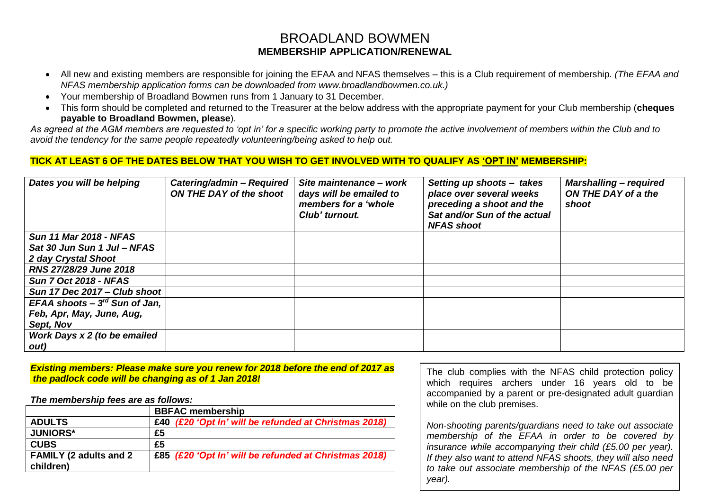## BROADLAND BOWMEN **MEMBERSHIP APPLICATION/RENEWAL**

- All new and existing members are responsible for joining the EFAA and NFAS themselves this is a Club requirement of membership. *(The EFAA and NFAS membership application forms can be downloaded from www.broadlandbowmen.co.uk.)*
- Your membership of Broadland Bowmen runs from 1 January to 31 December.
- This form should be completed and returned to the Treasurer at the below address with the appropriate payment for your Club membership (**cheques payable to Broadland Bowmen, please**).

*As agreed at the AGM members are requested to 'opt in' for a specific working party to promote the active involvement of members within the Club and to avoid the tendency for the same people repeatedly volunteering/being asked to help out.*

## **TICK AT LEAST 6 OF THE DATES BELOW THAT YOU WISH TO GET INVOLVED WITH TO QUALIFY AS 'OPT IN' MEMBERSHIP:**

| Dates you will be helping            | Catering/admin - Required<br>ON THE DAY of the shoot | Site maintenance - work<br>days will be emailed to<br>members for a 'whole<br>Club' turnout. | Setting up shoots - takes<br>place over several weeks<br>preceding a shoot and the<br>Sat and/or Sun of the actual<br><b>NFAS shoot</b> | <b>Marshalling - required</b><br>ON THE DAY of a the<br>shoot |
|--------------------------------------|------------------------------------------------------|----------------------------------------------------------------------------------------------|-----------------------------------------------------------------------------------------------------------------------------------------|---------------------------------------------------------------|
| <b>Sun 11 Mar 2018 - NFAS</b>        |                                                      |                                                                                              |                                                                                                                                         |                                                               |
| Sat 30 Jun Sun 1 Jul - NFAS          |                                                      |                                                                                              |                                                                                                                                         |                                                               |
| 2 day Crystal Shoot                  |                                                      |                                                                                              |                                                                                                                                         |                                                               |
| RNS 27/28/29 June 2018               |                                                      |                                                                                              |                                                                                                                                         |                                                               |
| <b>Sun 7 Oct 2018 - NFAS</b>         |                                                      |                                                                                              |                                                                                                                                         |                                                               |
| Sun 17 Dec 2017 - Club shoot         |                                                      |                                                                                              |                                                                                                                                         |                                                               |
| EFAA shoots $-3^{rd}$ Sun of Jan.    |                                                      |                                                                                              |                                                                                                                                         |                                                               |
| Feb, Apr, May, June, Aug,            |                                                      |                                                                                              |                                                                                                                                         |                                                               |
| Sept, Nov                            |                                                      |                                                                                              |                                                                                                                                         |                                                               |
| Work Days x 2 (to be emailed<br>out) |                                                      |                                                                                              |                                                                                                                                         |                                                               |

*Existing members: Please make sure you renew for 2018 before the end of 2017 as the padlock code will be changing as of 1 Jan 2018!*

*The membership fees are as follows:*

|                                | <b>BBFAC</b> membership                               |
|--------------------------------|-------------------------------------------------------|
| <b>ADULTS</b>                  | £40 (£20 'Opt In' will be refunded at Christmas 2018) |
| <b>JUNIORS*</b>                | £5                                                    |
| <b>CUBS</b>                    | £5                                                    |
| <b>FAMILY (2 adults and 2)</b> | £85 (£20 'Opt In' will be refunded at Christmas 2018) |
| children)                      |                                                       |

The club complies with the NFAS child protection policy which requires archers under 16 years old to be accompanied by a parent or pre-designated adult guardian while on the club premises.

*Non-shooting parents/guardians need to take out associate membership of the EFAA in order to be covered by insurance while accompanying their child (£5.00 per year). If they also want to attend NFAS shoots, they will also need to take out associate membership of the NFAS (£5.00 per year).*